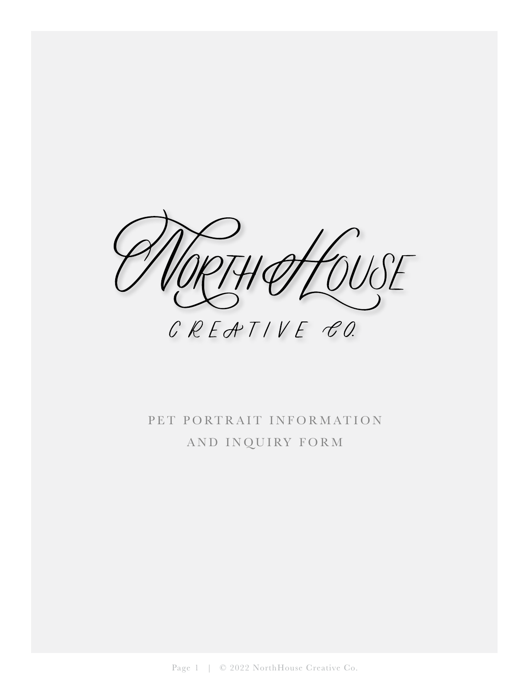

## PET PORTRAIT INFORMATION AND INQUIRY FORM

Page 1 | © 2022 NorthHouse Creative Co.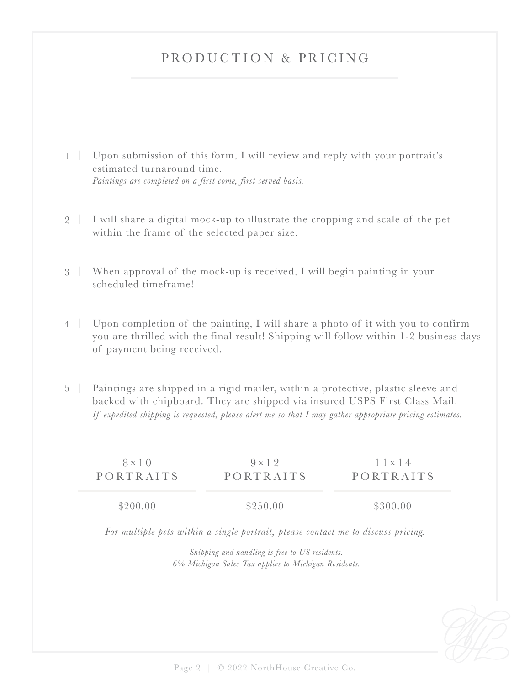## PRODUCTION & PRICING

- 1 | Upon submission of this form, I will review and reply with your portrait's estimated turnaround time. *Paintings are completed on a first come, first served basis.*
- 2 | I will share a digital mock-up to illustrate the cropping and scale of the pet within the frame of the selected paper size.
- When approval of the mock-up is received, I will begin painting in your 3 | scheduled timeframe!
- Upon completion of the painting, I will share a photo of it with you to confirm 4 | you are thrilled with the final result! Shipping will follow within 1-2 business days of payment being received.
- 5 | Paintings are shipped in a rigid mailer, within a protective, plastic sleeve and backed with chipboard. They are shipped via insured USPS First Class Mail. *If expedited shipping is requested, please alert me so that I may gather appropriate pricing estimates.*

| $8 \times 10$ | 9x12      | 1 x 14    |
|---------------|-----------|-----------|
| PORTRAITS     | PORTRAITS | PORTRAITS |
| \$200.00      | \$250.00  | \$300.00  |

*For multiple pets within a single portrait, please contact me to discuss pricing.*

*Shipping and handling is free to US residents. 6% Michigan Sales Tax applies to Michigan Residents.*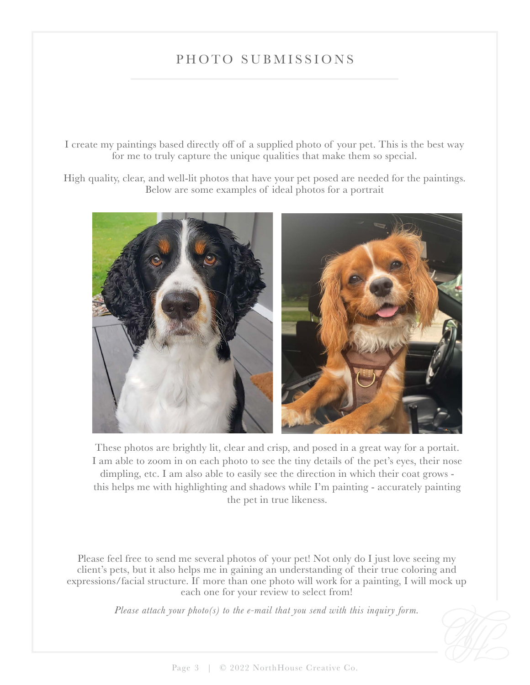## PHOTO SUBMISSIONS

I create my paintings based directly off of a supplied photo of your pet. This is the best way for me to truly capture the unique qualities that make them so special.

High quality, clear, and well-lit photos that have your pet posed are needed for the paintings. Below are some examples of ideal photos for a portrait



These photos are brightly lit, clear and crisp, and posed in a great way for a portait. I am able to zoom in on each photo to see the tiny details of the pet's eyes, their nose dimpling, etc. I am also able to easily see the direction in which their coat grows this helps me with highlighting and shadows while I'm painting - accurately painting the pet in true likeness.

Please feel free to send me several photos of your pet! Not only do I just love seeing my client's pets, but it also helps me in gaining an understanding of their true coloring and expressions/facial structure. If more than one photo will work for a painting, I will mock up each one for your review to select from!

*Please attach your photo(s) to the e-mail that you send with this inquiry form.*